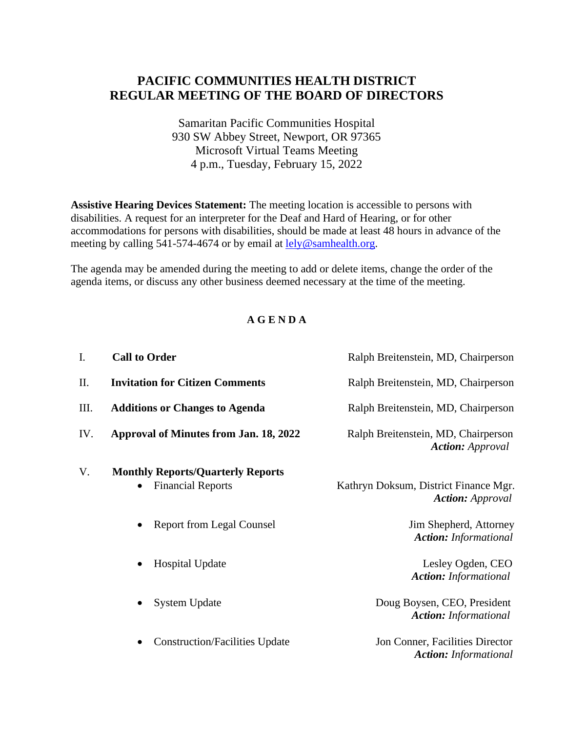## **PACIFIC COMMUNITIES HEALTH DISTRICT REGULAR MEETING OF THE BOARD OF DIRECTORS**

Samaritan Pacific Communities Hospital 930 SW Abbey Street, Newport, OR 97365 Microsoft Virtual Teams Meeting 4 p.m., Tuesday, February 15, 2022

**Assistive Hearing Devices Statement:** The meeting location is accessible to persons with disabilities. A request for an interpreter for the Deaf and Hard of Hearing, or for other accommodations for persons with disabilities, should be made at least 48 hours in advance of the meeting by calling 541-574-4674 or by email at [lely@samhealth.org.](mailto:lely@samhealth.org)

The agenda may be amended during the meeting to add or delete items, change the order of the agenda items, or discuss any other business deemed necessary at the time of the meeting.

## **A G E N D A**

| I.  | <b>Call to Order</b>                                                              | Ralph Breitenstein, MD, Chairperson                              |
|-----|-----------------------------------------------------------------------------------|------------------------------------------------------------------|
| Π.  | <b>Invitation for Citizen Comments</b>                                            | Ralph Breitenstein, MD, Chairperson                              |
| Ш.  | <b>Additions or Changes to Agenda</b>                                             | Ralph Breitenstein, MD, Chairperson                              |
| IV. | <b>Approval of Minutes from Jan. 18, 2022</b>                                     | Ralph Breitenstein, MD, Chairperson<br><b>Action:</b> Approval   |
| V.  | <b>Monthly Reports/Quarterly Reports</b><br><b>Financial Reports</b><br>$\bullet$ | Kathryn Doksum, District Finance Mgr.<br><b>Action:</b> Approval |
|     | <b>Report from Legal Counsel</b><br>$\bullet$                                     | Jim Shepherd, Attorney<br><b>Action:</b> Informational           |
|     | <b>Hospital Update</b><br>$\bullet$                                               | Lesley Ogden, CEO<br><b>Action:</b> Informational                |
|     | <b>System Update</b><br>$\bullet$                                                 | Doug Boysen, CEO, President<br><b>Action:</b> Informational      |
|     | <b>Construction/Facilities Update</b><br>$\bullet$                                | Jon Conner, Facilities Director<br><b>Action:</b> Informational  |